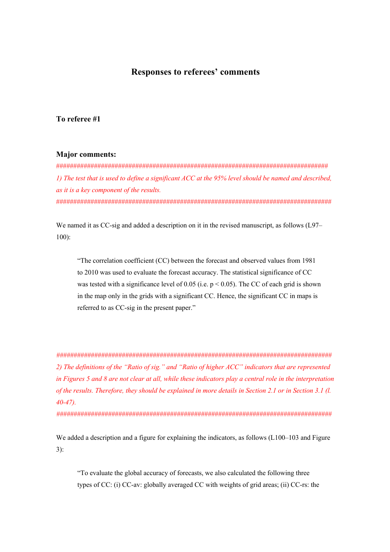# **Responses to referees' comments**

## **To referee #1**

### **Major comments:**

############################################################################### *1) The test that is used to define a significant ACC at the 95% level should be named and described, as it is a key component of the results.*  ################################################################################

We named it as CC-sig and added a description on it in the revised manuscript, as follows (L97– 100):

"The correlation coefficient (CC) between the forecast and observed values from 1981 to 2010 was used to evaluate the forecast accuracy. The statistical significance of CC was tested with a significance level of 0.05 (i.e.  $p < 0.05$ ). The CC of each grid is shown in the map only in the grids with a significant CC. Hence, the significant CC in maps is referred to as CC-sig in the present paper."

*################################################################################ 2) The definitions of the "Ratio of sig." and "Ratio of higher ACC" indicators that are represented in Figures 5 and 8 are not clear at all, while these indicators play a central role in the interpretation of the results. Therefore, they should be explained in more details in Section 2.1 or in Section 3.1 (l. 40-47).* 

*################################################################################*

We added a description and a figure for explaining the indicators, as follows (L100–103 and Figure 3):

"To evaluate the global accuracy of forecasts, we also calculated the following three types of CC: (i) CC-av: globally averaged CC with weights of grid areas; (ii) CC-rs: the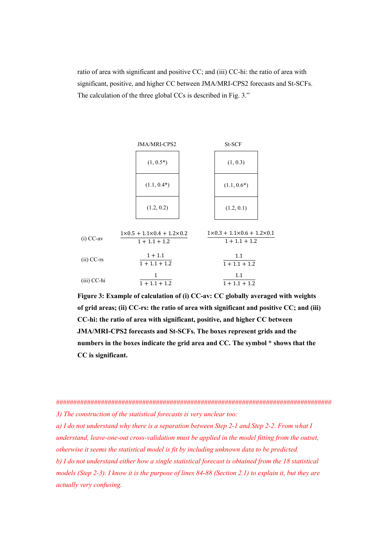ratio of area with significant and positive CC; and (iii) CC-hi: the ratio of area with significant, positive, and higher CC between JMA/MRI-CPS2 forecasts and St-SCFs. The calculation of the three global CCs is described in Fig. 3."



**Figure 3: Example of calculation of (i) CC-av: CC globally averaged with weights of grid areas; (ii) CC-rs: the ratio of area with significant and positive CC; and (iii) CC-hi: the ratio of area with significant, positive, and higher CC between JMA/MRI-CPS2 forecasts and St-SCFs. The boxes represent grids and the numbers in the boxes indicate the grid area and CC. The symbol \* shows that the CC is significant.**

*a) I do not understand why there is a separation between Step 2-1 and Step 2-2. From what I understand, leave-one-out cross-validation must be applied in the model fitting from the outset,* 

*otherwise it seems the statistical model is fit by including unknown data to be predicted.* 

*b) I do not understand either how a single statistical forecast is obtained from the 18 statistical models (Step 2-3). I know it is the purpose of lines 84-88 (Section 2.1) to explain it, but they are actually very confusing.*

<sup>################################################################################</sup> *3) The construction of the statistical forecasts is very unclear too:*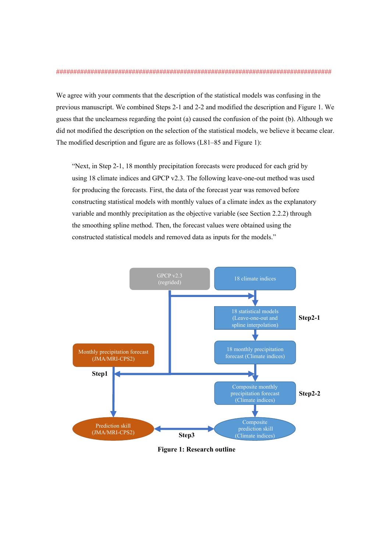#### ################################################################################

We agree with your comments that the description of the statistical models was confusing in the previous manuscript. We combined Steps 2-1 and 2-2 and modified the description and Figure 1. We guess that the unclearness regarding the point (a) caused the confusion of the point (b). Although we did not modified the description on the selection of the statistical models, we believe it became clear. The modified description and figure are as follows (L81–85 and Figure 1):

"Next, in Step 2-1, 18 monthly precipitation forecasts were produced for each grid by using 18 climate indices and GPCP v2.3. The following leave-one-out method was used for producing the forecasts. First, the data of the forecast year was removed before constructing statistical models with monthly values of a climate index as the explanatory variable and monthly precipitation as the objective variable (see Section 2.2.2) through the smoothing spline method. Then, the forecast values were obtained using the constructed statistical models and removed data as inputs for the models."



**Figure 1: Research outline**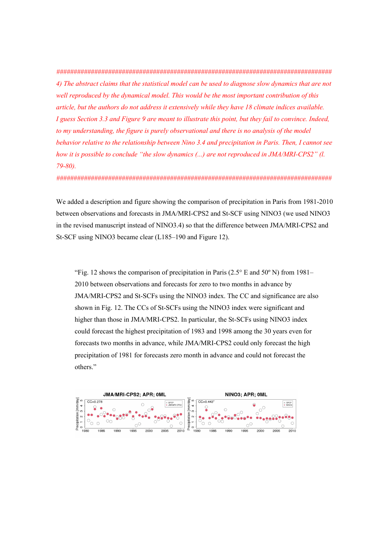*################################################################################ 4) The abstract claims that the statistical model can be used to diagnose slow dynamics that are not well reproduced by the dynamical model. This would be the most important contribution of this article, but the authors do not address it extensively while they have 18 climate indices available. I guess Section 3.3 and Figure 9 are meant to illustrate this point, but they fail to convince. Indeed, to my understanding, the figure is purely observational and there is no analysis of the model behavior relative to the relationship between Nino 3.4 and precipitation in Paris. Then, I cannot see how it is possible to conclude "the slow dynamics (...) are not reproduced in JMA/MRI-CPS2" (l. 79-80).* 

*################################################################################*

We added a description and figure showing the comparison of precipitation in Paris from 1981-2010 between observations and forecasts in JMA/MRI-CPS2 and St-SCF using NINO3 (we used NINO3 in the revised manuscript instead of NINO3.4) so that the difference between JMA/MRI-CPS2 and St-SCF using NINO3 became clear (L185–190 and Figure 12).

"Fig. 12 shows the comparison of precipitation in Paris (2.5° E and 50° N) from 1981– 2010 between observations and forecasts for zero to two months in advance by JMA/MRI-CPS2 and St-SCFs using the NINO3 index. The CC and significance are also shown in Fig. 12. The CCs of St-SCFs using the NINO3 index were significant and higher than those in JMA/MRI-CPS2. In particular, the St-SCFs using NINO3 index could forecast the highest precipitation of 1983 and 1998 among the 30 years even for forecasts two months in advance, while JMA/MRI-CPS2 could only forecast the high precipitation of 1981 for forecasts zero month in advance and could not forecast the others."

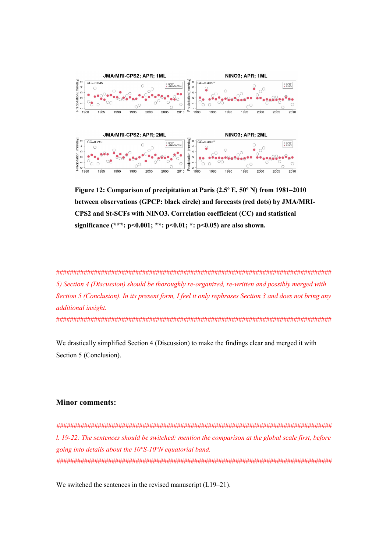

**Figure 12: Comparison of precipitation at Paris (2.5º E, 50º N) from 1981–2010 between observations (GPCP: black circle) and forecasts (red dots) by JMA/MRI-CPS2 and St-SCFs with NINO3. Correlation coefficient (CC) and statistical significance (\*\*\*: p<0.001; \*\*: p<0.01; \*: p<0.05) are also shown.** 

################################################################################ *5) Section 4 (Discussion) should be thoroughly re-organized, re-written and possibly merged with Section 5 (Conclusion). In its present form, I feel it only rephrases Section 3 and does not bring any additional insight.* 

################################################################################

We drastically simplified Section 4 (Discussion) to make the findings clear and merged it with Section 5 (Conclusion).

### **Minor comments:**

*################################################################################ l. 19-22: The sentences should be switched: mention the comparison at the global scale first, before going into details about the 10°S-10°N equatorial band. ################################################################################*

We switched the sentences in the revised manuscript (L19–21).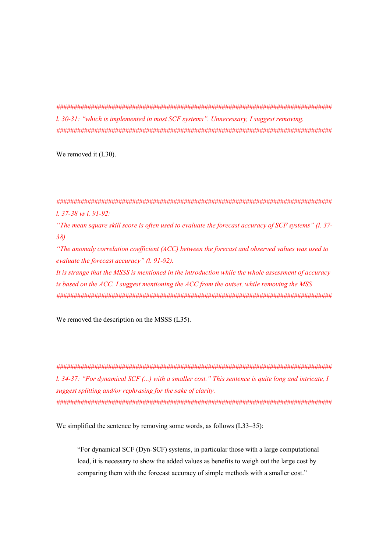*################################################################################ l. 30-31: "which is implemented in most SCF systems". Unnecessary, I suggest removing. ################################################################################*

We removed it (L30).

*################################################################################ l. 37-38 vs l. 91-92:*

*"The mean square skill score is often used to evaluate the forecast accuracy of SCF systems" (l. 37- 38)*

*"The anomaly correlation coefficient (ACC) between the forecast and observed values was used to evaluate the forecast accuracy" (l. 91-92).*

*It is strange that the MSSS is mentioned in the introduction while the whole assessment of accuracy is based on the ACC. I suggest mentioning the ACC from the outset, while removing the MSS ################################################################################*

We removed the description on the MSSS (L35).

*################################################################################ l. 34-37: "For dynamical SCF (...) with a smaller cost." This sentence is quite long and intricate, I suggest splitting and/or rephrasing for the sake of clarity. ################################################################################*

We simplified the sentence by removing some words, as follows (L33–35):

"For dynamical SCF (Dyn-SCF) systems, in particular those with a large computational load, it is necessary to show the added values as benefits to weigh out the large cost by comparing them with the forecast accuracy of simple methods with a smaller cost."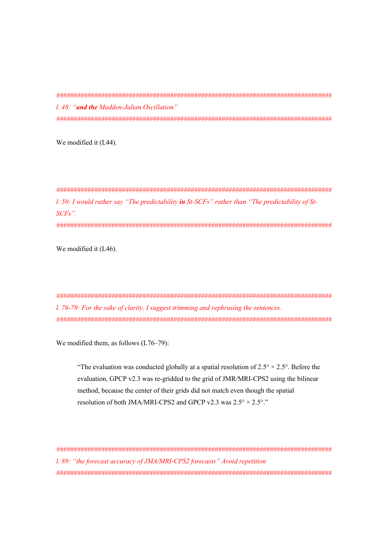*################################################################################ l. 48: "and the Madden-Julian Oscillation" ################################################################################*

We modified it (L44).

*################################################################################ l. 50: I would rather say "The predictability in St-SCFs" rather than "The predictability of St-SCFs". ################################################################################*

We modified it (L46).

*################################################################################ l. 76-79: For the sake of clarity, I suggest trimming and rephrasing the sentences. ################################################################################*

We modified them, as follows (L76–79):

"The evaluation was conducted globally at a spatial resolution of  $2.5^{\circ} \times 2.5^{\circ}$ . Before the evaluation, GPCP v2.3 was re-gridded to the grid of JMR/MRI-CPS2 using the bilinear method, because the center of their grids did not match even though the spatial resolution of both JMA/MRI-CPS2 and GPCP v2.3 was  $2.5^\circ \times 2.5^\circ$ ."

*################################################################################ l. 89: "the forecast accuracy of JMA/MRI-CPS2 forecasts" Avoid repetition ################################################################################*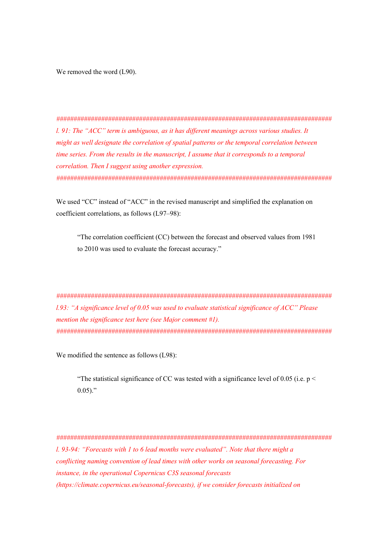We removed the word (L90).

*################################################################################ l. 91: The "ACC" term is ambiguous, as it has different meanings across various studies. It might as well designate the correlation of spatial patterns or the temporal correlation between time series. From the results in the manuscript, I assume that it corresponds to a temporal correlation. Then I suggest using another expression. ################################################################################*

We used "CC" instead of "ACC" in the revised manuscript and simplified the explanation on coefficient correlations, as follows (L97–98):

"The correlation coefficient (CC) between the forecast and observed values from 1981 to 2010 was used to evaluate the forecast accuracy."

*################################################################################ l.93: "A significance level of 0.05 was used to evaluate statistical significance of ACC" Please mention the significance test here (see Major comment #1). ################################################################################*

We modified the sentence as follows (L98):

"The statistical significance of CC was tested with a significance level of 0.05 (i.e.  $p <$  $0.05$ )."

*################################################################################ l. 93-94: "Forecasts with 1 to 6 lead months were evaluated". Note that there might a conflicting naming convention of lead times with other works on seasonal forecasting. For instance, in the operational Copernicus C3S seasonal forecasts (https://climate.copernicus.eu/seasonal-forecasts), if we consider forecasts initialized on*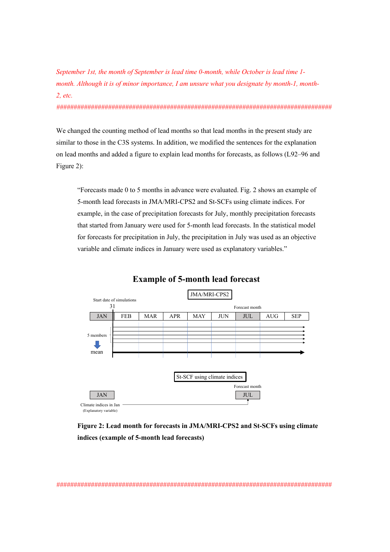*September 1st, the month of September is lead time 0-month, while October is lead time 1 month. Although it is of minor importance, I am unsure what you designate by month-1, month-2, etc.* 

*################################################################################*

We changed the counting method of lead months so that lead months in the present study are similar to those in the C3S systems. In addition, we modified the sentences for the explanation on lead months and added a figure to explain lead months for forecasts, as follows (L92–96 and Figure 2):

"Forecasts made 0 to 5 months in advance were evaluated. Fig. 2 shows an example of 5-month lead forecasts in JMA/MRI-CPS2 and St-SCFs using climate indices. For example, in the case of precipitation forecasts for July, monthly precipitation forecasts that started from January were used for 5-month lead forecasts. In the statistical model for forecasts for precipitation in July, the precipitation in July was used as an objective variable and climate indices in January were used as explanatory variables."



# **Example of 5-month lead forecast**

**Figure 2: Lead month for forecasts in JMA/MRI-CPS2 and St-SCFs using climate indices (example of 5-month lead forecasts)**

*################################################################################*